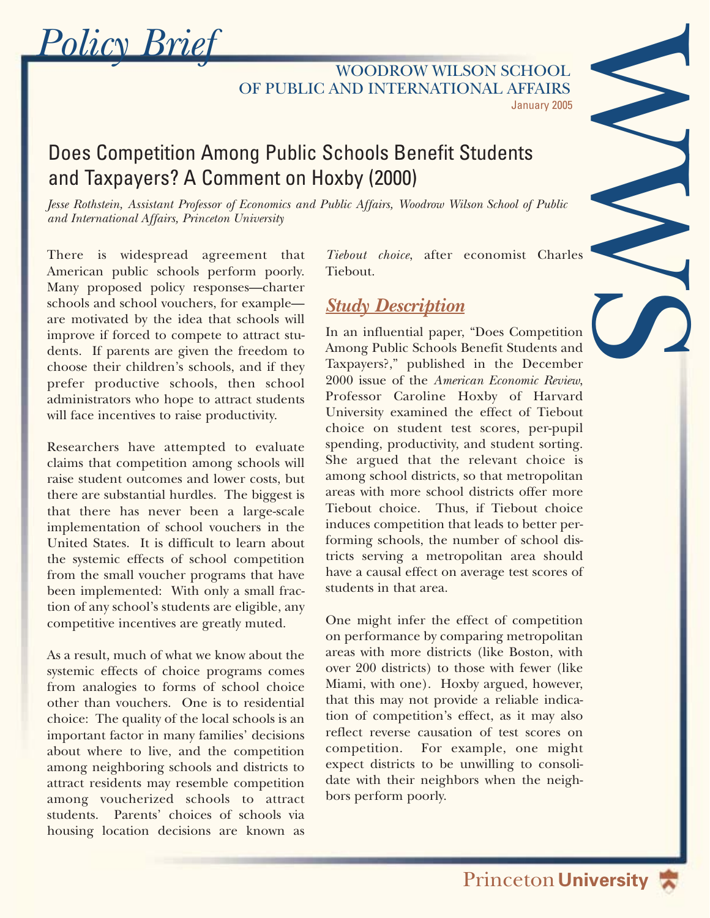*Policy Brief*

January 2005 WOODROW WILSON SCHOOL OF PUBLIC AND INTERNATIONAL AFFAIRS

## Does Competition Among Public Schools Benefit Students and Taxpayers? A Comment on Hoxby (2000)

*Jesse Rothstein, Assistant Professor of Economics and Public Affairs, Woodrow Wilson School of Public and International Affairs, Princeton University*

There is widespread agreement that American public schools perform poorly. Many proposed policy responses—charter schools and school vouchers, for example are motivated by the idea that schools will improve if forced to compete to attract students. If parents are given the freedom to choose their children's schools, and if they prefer productive schools, then school administrators who hope to attract students will face incentives to raise productivity.

Researchers have attempted to evaluate claims that competition among schools will raise student outcomes and lower costs, but there are substantial hurdles. The biggest is that there has never been a large-scale implementation of school vouchers in the United States. It is difficult to learn about the systemic effects of school competition from the small voucher programs that have been implemented: With only a small fraction of any school's students are eligible, any competitive incentives are greatly muted.

As a result, much of what we know about the systemic effects of choice programs comes from analogies to forms of school choice other than vouchers. One is to residential choice: The quality of the local schools is an important factor in many families' decisions about where to live, and the competition among neighboring schools and districts to attract residents may resemble competition among voucherized schools to attract students. Parents' choices of schools via housing location decisions are known as

*Tiebout choice*, after economist Charles Tiebout.

WWS STREET

## *Study Description*

In an influential paper, "Does Competition Among Public Schools Benefit Students and Taxpayers?," published in the December 2000 issue of the *American Economic Review*, Professor Caroline Hoxby of Harvard University examined the effect of Tiebout choice on student test scores, per-pupil spending, productivity, and student sorting. She argued that the relevant choice is among school districts, so that metropolitan areas with more school districts offer more Tiebout choice. Thus, if Tiebout choice induces competition that leads to better performing schools, the number of school districts serving a metropolitan area should have a causal effect on average test scores of students in that area.

One might infer the effect of competition on performance by comparing metropolitan areas with more districts (like Boston, with over 200 districts) to those with fewer (like Miami, with one). Hoxby argued, however, that this may not provide a reliable indication of competition's effect, as it may also reflect reverse causation of test scores on competition. For example, one might expect districts to be unwilling to consolidate with their neighbors when the neighbors perform poorly.